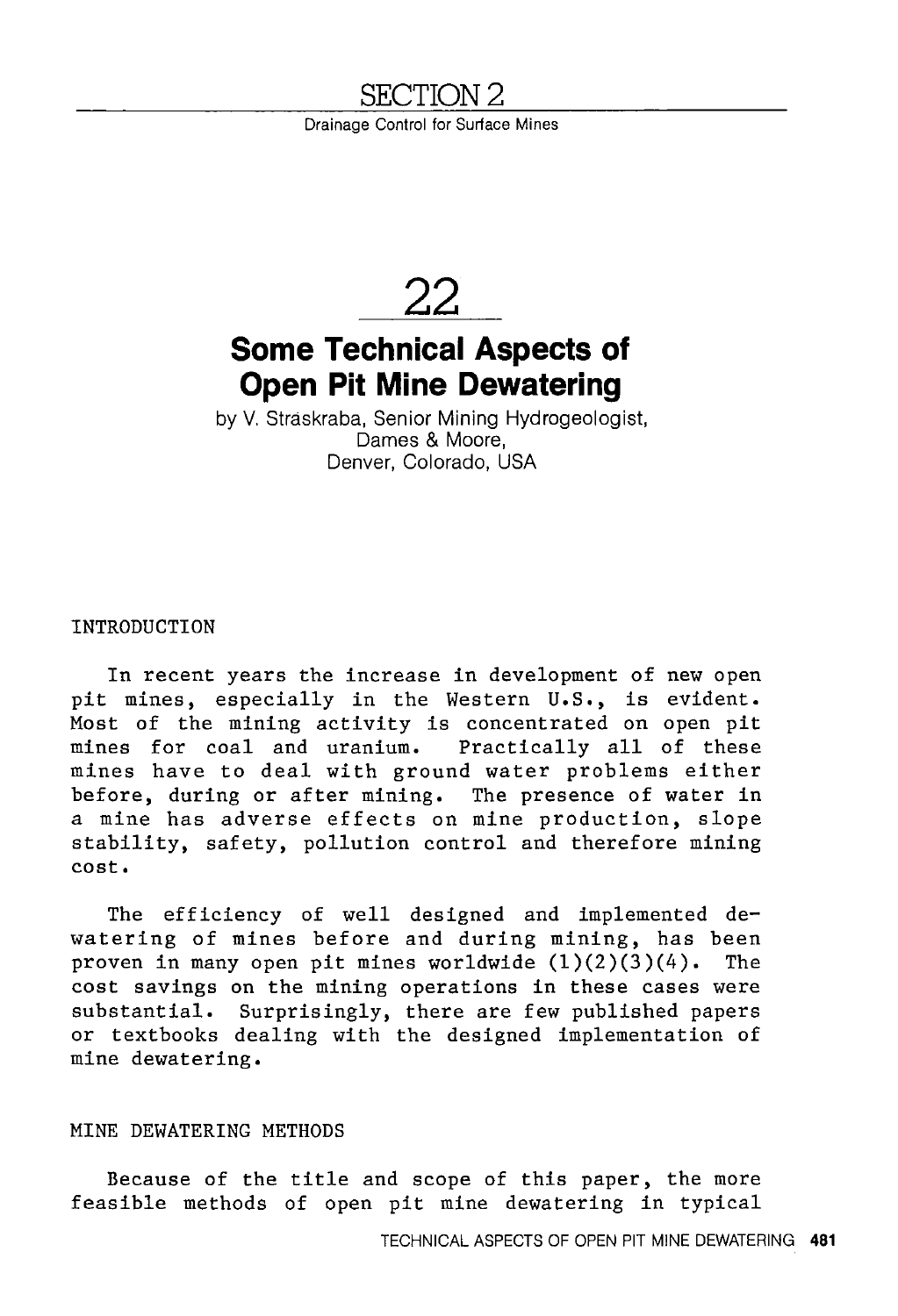## <u>SECTION 2</u>

Drainage Control for Surface Mines



# **Some Technical Aspects of Open Pit Mine Dewatering**

by V. Straskraba, Senior Mining Hydrogeologist, Dames & Moore, Denver, Colorado, USA

INTRODUCTION

In recent years the increase in development of new open pit mines, especially in the Western U.S., is evident. Most of the mining activity is concentrated on open pit mines for coal and uranium. Practically all of these mines for coal and uranium. mines have to deal with ground water problems either before, during or after mining. The presence of water in a mine has adverse effects on mine production, slope stability, safety, pollution control and therefore mining cost.

The efficiency of well designed and implemented dewatering of mines before and during mining, has been proven in many open pit mines worldwide  $(1)(2)(3)(4)$ . The cost savings on the mining operations in these cases were substantial. Surprisingly, there are few published papers or textbooks dealing with the designed implementation of mine dewatering.

## MINE DEWATERING METHODS

Because of the title and scope of this paper, the more feasible methods of open pit mine dewatering in typical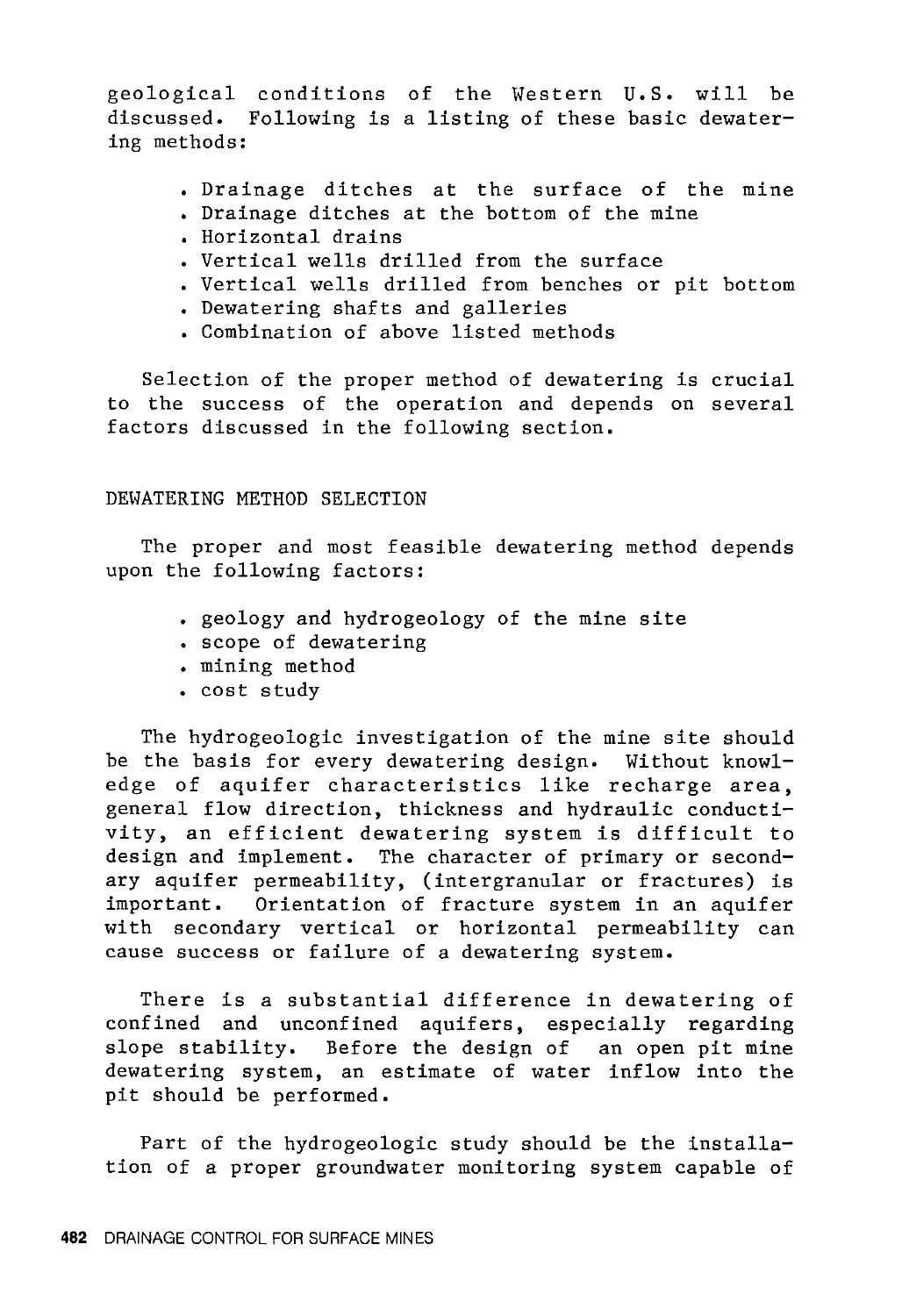geological conditions of the Western U.S. will be discussed. Following is a listing of these basic dewatering methods:

- Drainage ditches at the surface of the mine
- Drainage ditches at the bottom of the mine
- Horizontal drains
- Vertical wells drilled from the surface
- Vertical wells drilled from benches or pit bottom
- Dewatering shafts and galleries
- Combination of above listed methods

Selection of the proper method of dewatering is crucial to the success of the operation and depends on several factors discussed in the following section.

#### DEWATERING METHOD SELECTION

The proper and most feasible dewatering method depends upon the following factors:

- geology and hydrogeology of the mine site
- scope of dewatering
- mining method
- cost study

The hydrogeologic investigation of the mine site should be the basis for every dewatering design. Without knowledge of aquifer characteristics like recharge area, general flow direction, thickness and hydraulic conductivity, an efficient dewatering system is difficult to design and implement. The character of primary or secondary aquifer permeability, (intergranular or fractures) is important. Orientation of fracture system in an aquifer with secondary vertical or horizontal permeability can cause success or failure of a dewatering system.

There is a substantial difference in dewatering of confined and unconfined aquifers, especially regarding slope stability. Before the design of an open pit mine dewatering system, an estimate of water inflow into the pit should be performed.

Part of the hydrogeologic study should be the installation of a proper groundwater monitoring system capable of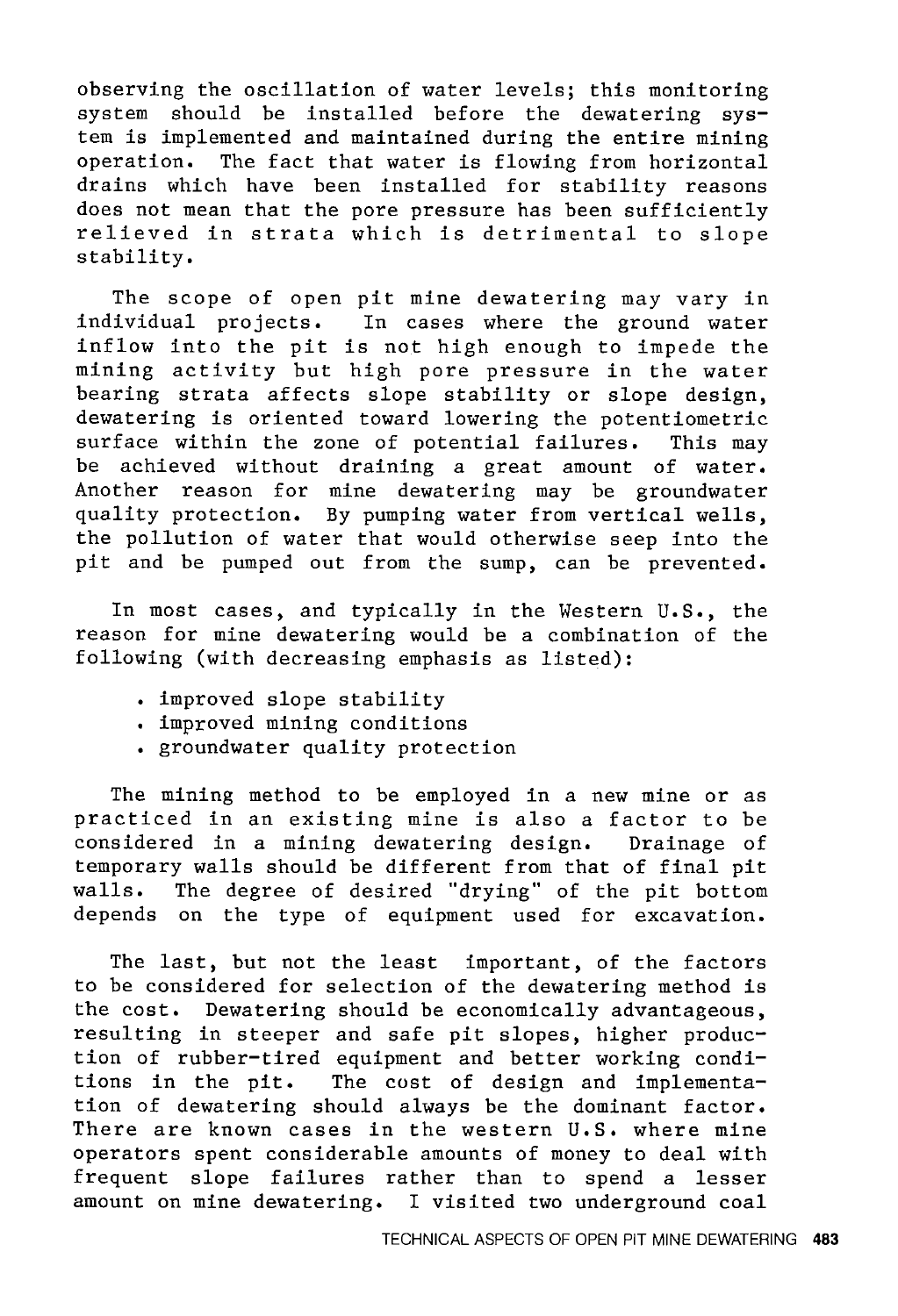observing the oscillation of water levels; this monitoring system should be installed before the dewatering system is implemented and maintained during the entire mining operation. The fact that water is flowing from horizontal drains which have been installed for stability reasons does not mean that the pore pressure has been sufficiently relieved in strata which is detrimental to slope stability.

The scope of open pit mine dewatering may vary in individual projects. In cases where the ground water inflow into the pit is not high enough to impede the mining activity but high pore pressure in the water bearing strata affects slope stability or slope design, dewatering is oriented toward lowering the potentiometric surface within the zone of potential failures. This may be achieved without draining a great amount of water. Another reason for mine dewatering may be groundwater quality protection. By pumping water from vertical wells, the pollution of water that would otherwise seep into the pit and be pumped out from the sump, can be prevented.

In most cases, and typically in the Western U.S., the reason for mine dewatering would be a combination of the following (with decreasing emphasis as listed):

- improved slope stability
- improved mining conditions
- groundwater quality protection

The mining method to be employed in a new mine or as practiced in an existing mine is also a factor to be considered in a mining dewatering design. Drainage of temporary walls should be different from that of final pit walls. The degree of desired "drying" of the pit bottom depends on the type of equipment used for excavation.

The last, but not the least important, of the factors to be considered for selection of the dewatering method is the cost. Dewatering should be economically advantageous, resulting in steeper and safe pit slopes, higher production of rubber-tired equipment and better working conditions in the pit. The cost of design and implementation of dewatering should always be the dominant factor. There are known cases in the western U.S. where mine operators spent considerable amounts of money to deal with frequent slope failures rather than to spend a lesser amount on mine dewatering. I visited two underground coal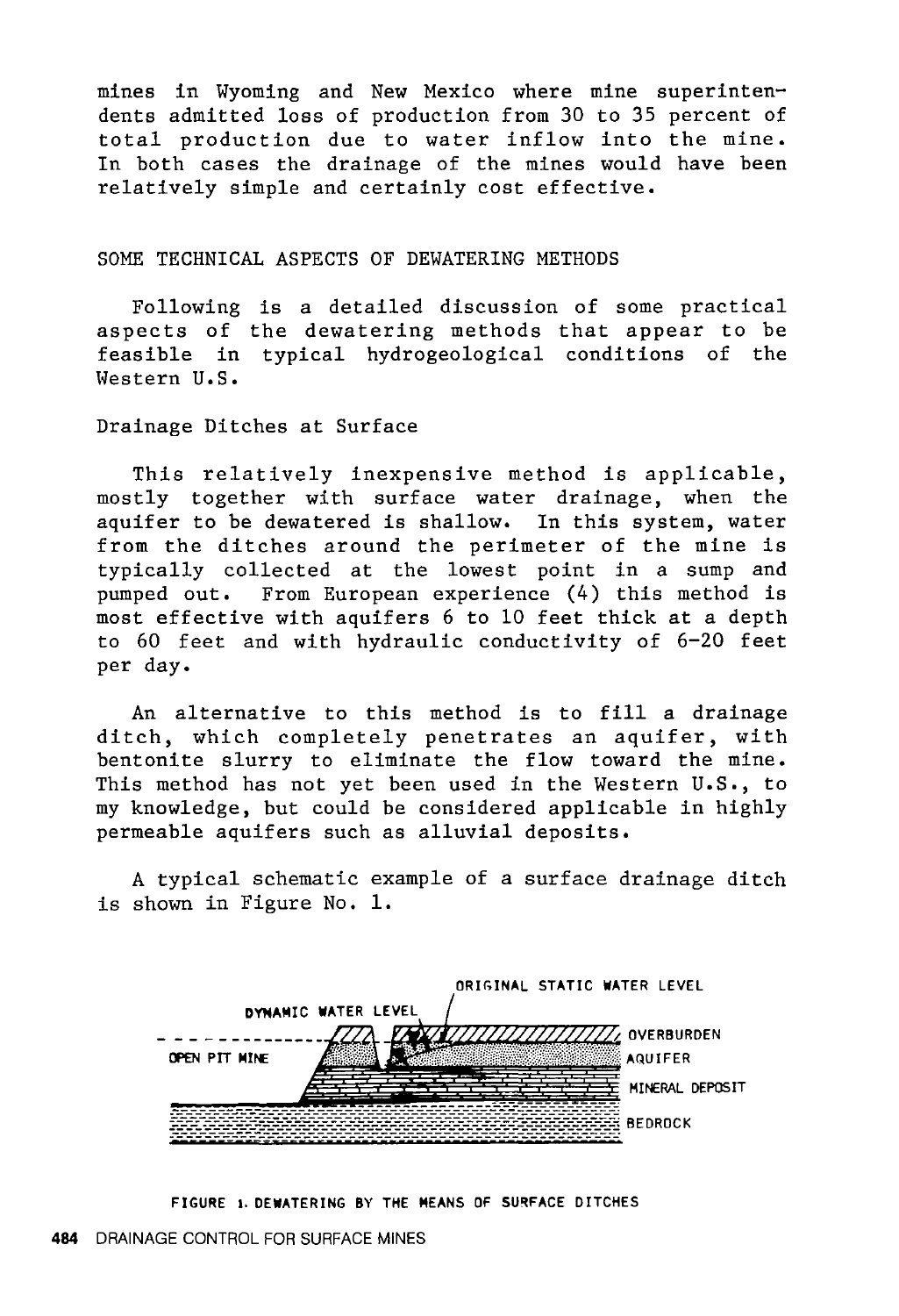mines in Wyoming and New Mexico where mine superintendents admitted loss of production from 30 to 35 percent of total production due to water inflow into the mine. In both cases the drainage of the mines would have been relatively simple and certainly cost effective.

## SOME TECHNICAL ASPECTS OF DEWATERING METHODS

Following is a detailed discussion of some practical aspects of the dewatering methods that appear to be feasible in typical hydrogeological conditions of the Western U.S.

#### Drainage Ditches at Surface

This relatively inexpensive method is applicable, mostly together with surface water drainage, when the aquifer to be dewatered is shallow. In this system, water from the ditches around the perimeter of the mine is typically collected at the lowest point in a sump and pumped out. From European experience (4) this method is most effective with aquifers 6 to 10 feet thick at a depth to 60 feet and with hydraulic conductivity of 6-20 feet per day.

An alternative to this method is to fill a drainage ditch, which completely penetrates an aquifer, with bentonite slurry to eliminate the flow toward the mine. This method has not yet been used in the Western U.S., to my knowledge, but could be considered applicable in highly permeable aquifers such as alluvial deposits.

A typical schematic example of a surface drainage ditch is shown in Figure No. 1.



#### FIGURE 1. DEWATERING BY TME MEANS OF SURFACE DITCHES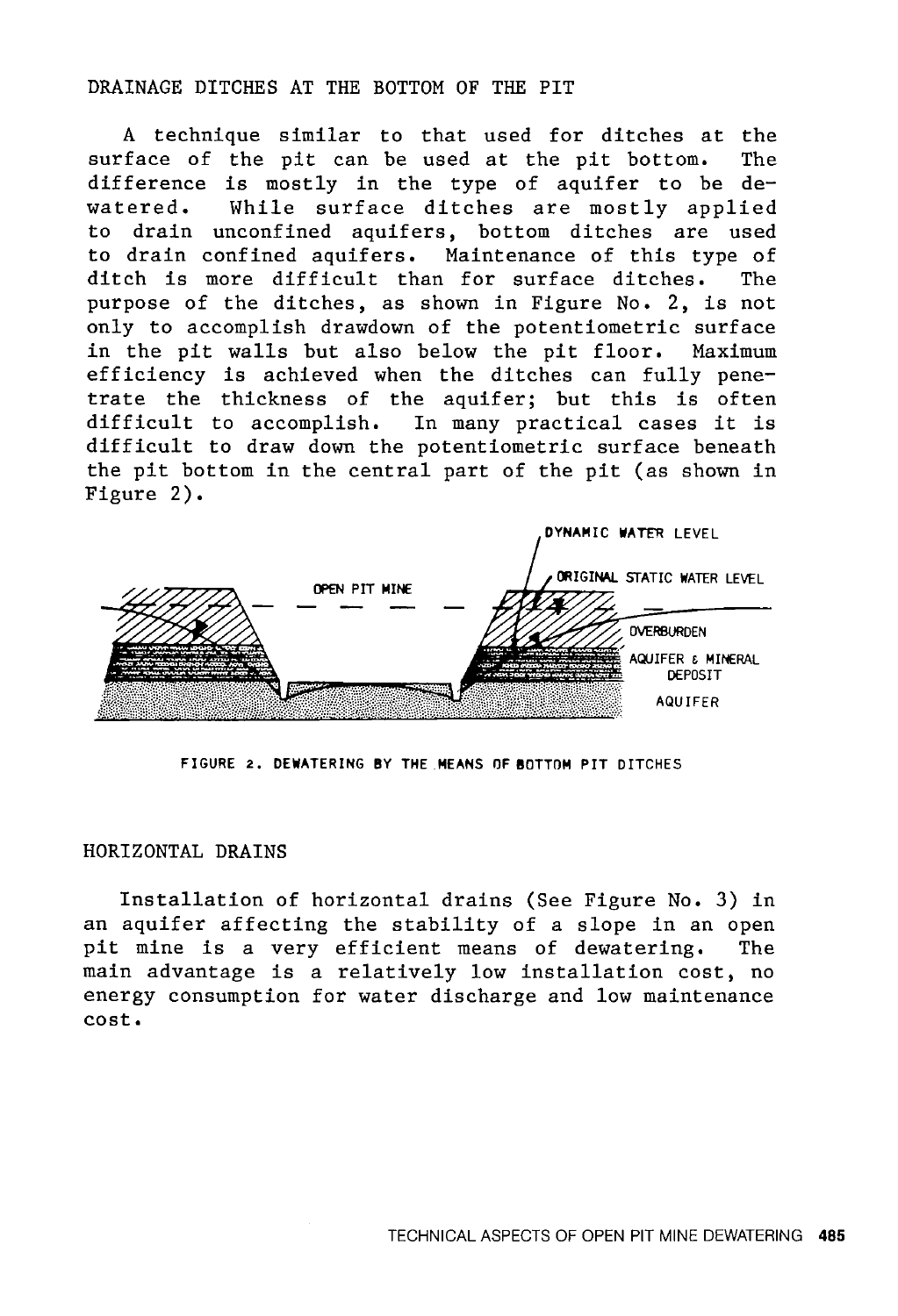### DRAINAGE DITCHES AT THE BOTTOM OF THE PIT

A technique similar to that used for ditches at the surface of the pit can be used at the pit bottom. The difference is mostly in the type of aquifer to be de-<br>watered. While surface ditches are mostly applied While surface ditches are mostly applied to drain unconfined aquifers, bottom ditches are used to drain confined aquifers. ditch is more difficult than for surface ditches. The purpose of the ditches, as shown in Figure No. 2, is not only to accomplish drawdown of the potentiometric surface in the pit walls but also below the pit floor. Maximum efficiency is achieved when the ditches can fully penetrate the thickness of the aquifer; but this is often difficult to accomplish. In many practical cases it is difficult to draw down the potentiometric surface beneath the pit bottom in the central part of the pit (as shown in Figure 2).



FIGURE 2. DEWATERING BY THE MEANS OF BOTTOM PIT DITCHES

## HORIZONTAL DRAINS

Installation of horizontal drains (See Figure No. 3) in an aquifer affecting the stability of a slope in an open pit mine is a very efficient means of dewatering. The main advantage is a relatively low installation cost, no energy consumption for water discharge and low maintenance cost.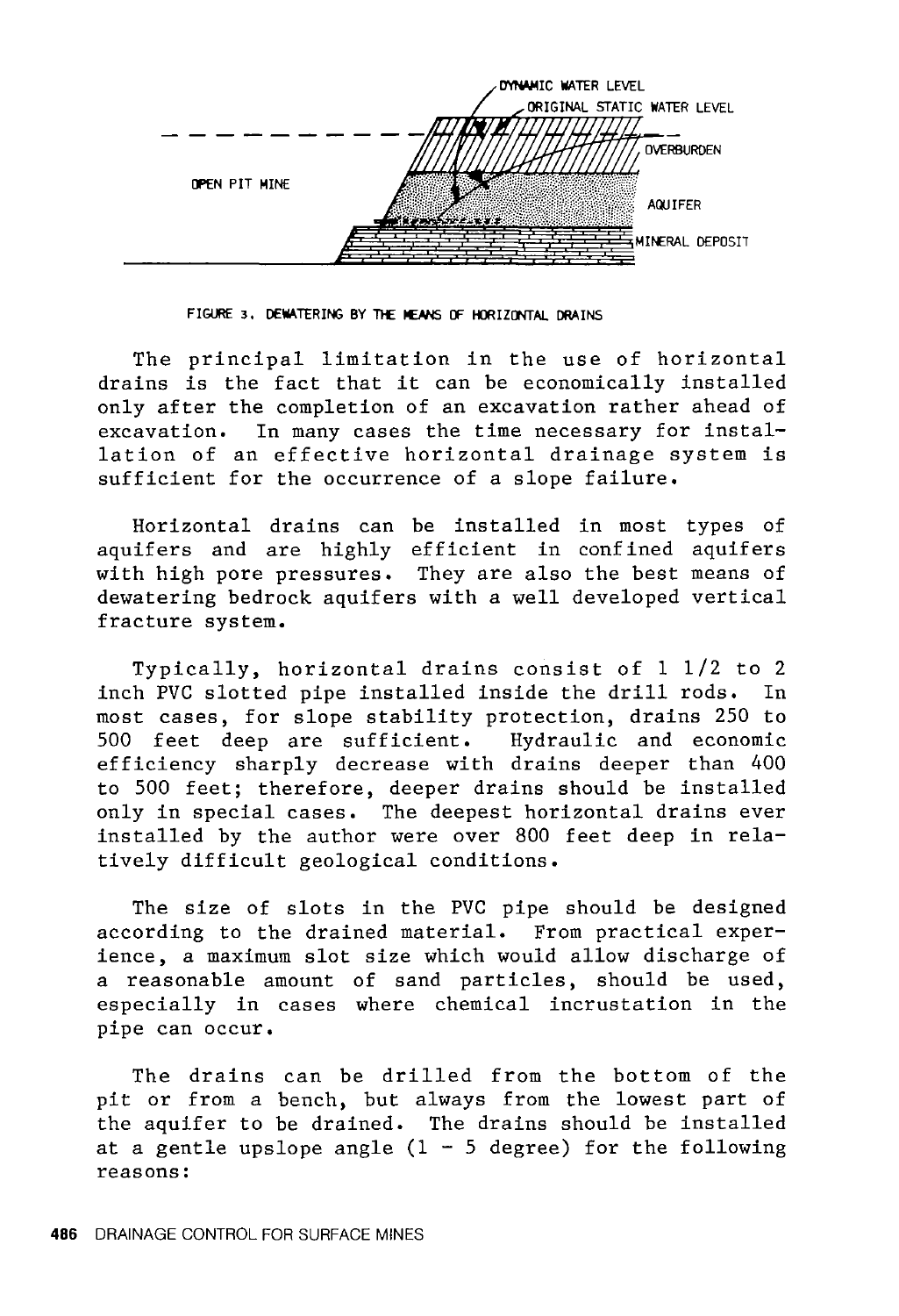

FIGURE 3. DEWATERING BY THE HEANS OF HORIZONTAL DRAINS

The principal limitation in the use of horizontal drains is the fact that it can be economically installed only after the completion of an excavation rather ahead of excavation. In many cases the time necessary for installation of an effective horizontal drainage system is sufficient for the occurrence of a slope failure.

Horizontal drains can be installed in most types of aquifers and are highly efficient in confined aquifers with high pore pressures. They are also the best means of dewatering bedrock aquifers with a well developed vertical fracture system,

Typically, horizontal drains consist of 1 1/2 to 2 inch PVC slotted pipe installed inside the drill rods. In most cases, for slope stability protection, drains 250 to 500 feet deep are sufficient. Hydraulic and economic efficiency sharply decrease with drains deeper than 400 to 500 feet; therefore, deeper drains should be installed only in special cases. The deepest horizontal drains ever installed by the author were over 800 feet deep in relatively difficult geological conditions.

The size of slots in the PVC pipe should be designed according to the drained material. From practical experience, a maximum slot size which would allow discharge of a reasonable amount of sand particles, should be used, especially in cases where chemical incrustation in the pipe can occur.

The drains can be drilled from the bottom of the pit or from a bench, but always from the lowest part of the aquifer to be drained. The drains should be installed at a gentle upslope angle  $(1 - 5$  degree) for the following reasons: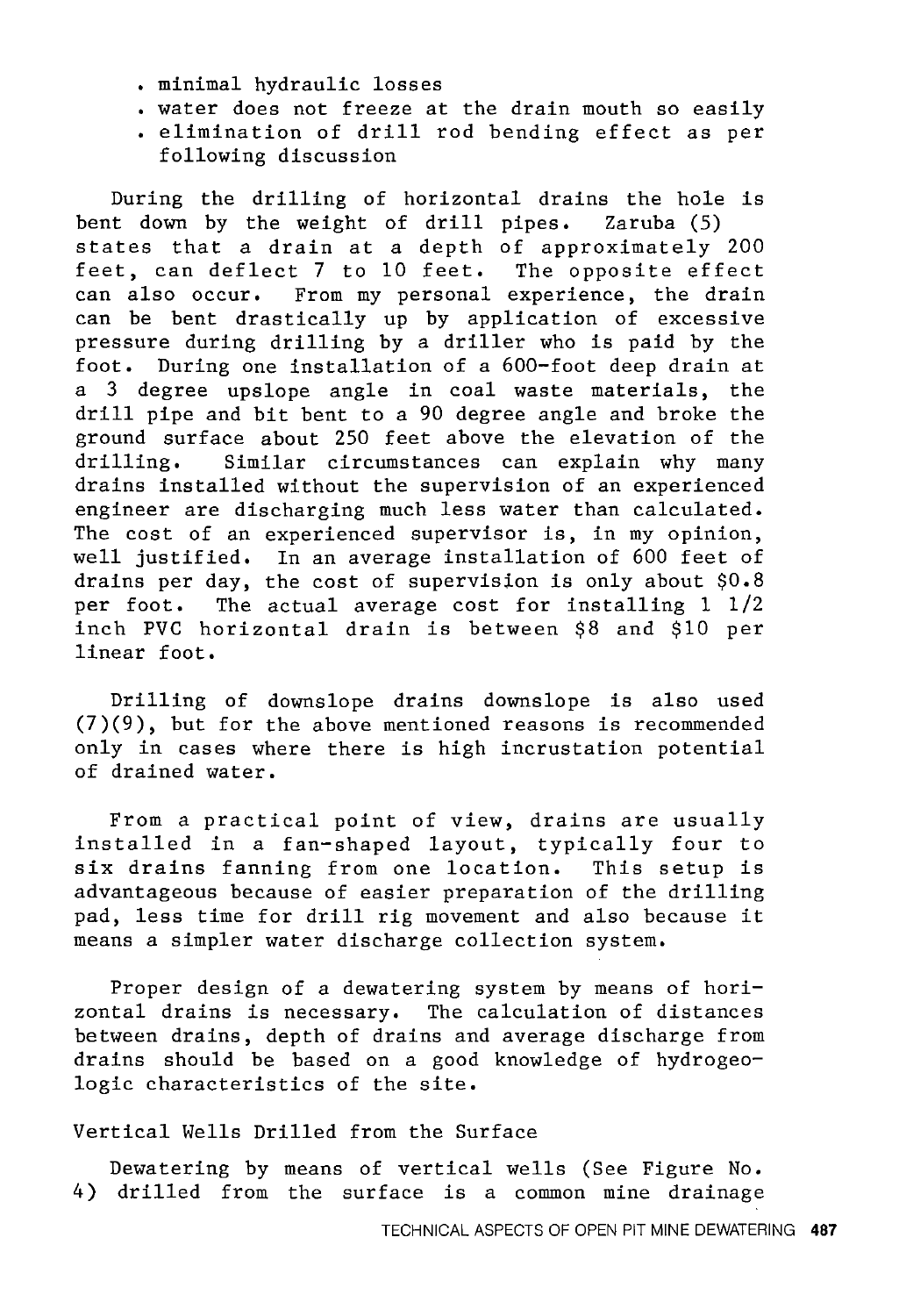- minimal hydraulic losses
- water does not freeze at the drain mouth so easily
- elimination of drill rod bending effect as per following discussion

During the drilling of horizontal drains the hole is<br>it down by the weight of drill pipes. Zaruba (5) bent down by the weight of drill pipes. states that a drain at a depth of approximately 200 feet, can deflect 7 to 10 feet. The opposite effect can also occur. From my personal experience, the drain can be bent drastically up by application of excessive pressure during drilling by a driller who is paid by the foot. During one installation of a 600-foot deep drain at a 3 degree upslope angle in coal waste materials, the drill pipe and bit bent to a 90 degree angle and broke the ground surface about 250 feet above the elevation of the Similar circumstances can explain why many drains installed without the supervision of an experienced engineer are discharging much less water than calculated. The cost of an experienced supervisor is, in my opinion, well justified. In an average installation of 600 feet of drains per day, the cost of supervision is only about \$0.8 per foot. The actual average cost for installing  $1\ 1/2$ inch PVC horizontal drain is between \$8 and \$10 per linear foot.

Drilling of downslope drains downslope is also used (7)(9), but for the above mentioned reasons is recommended only in cases where there is high incrustation potential of drained water.

From a practical point of view, drains are usually installed in a fan-shaped layout, typically four to six drains fanning from one location. This setup is advantageous because of easier preparation of the drilling pad, less time for drill rig movement and also because it means a simpler water discharge collection system.

Proper design of a dewatering system by means of horizontal drains is necessary. The calculation of distances between drains, depth of drains and average discharge from drains should be based on a good knowledge of hydrogeologic characteristics of the site.

Vertical Wells Drilled from the Surface

Dewatering by means of vertical wells (See Figure No. 4) drilled from the surface is a common mine drainage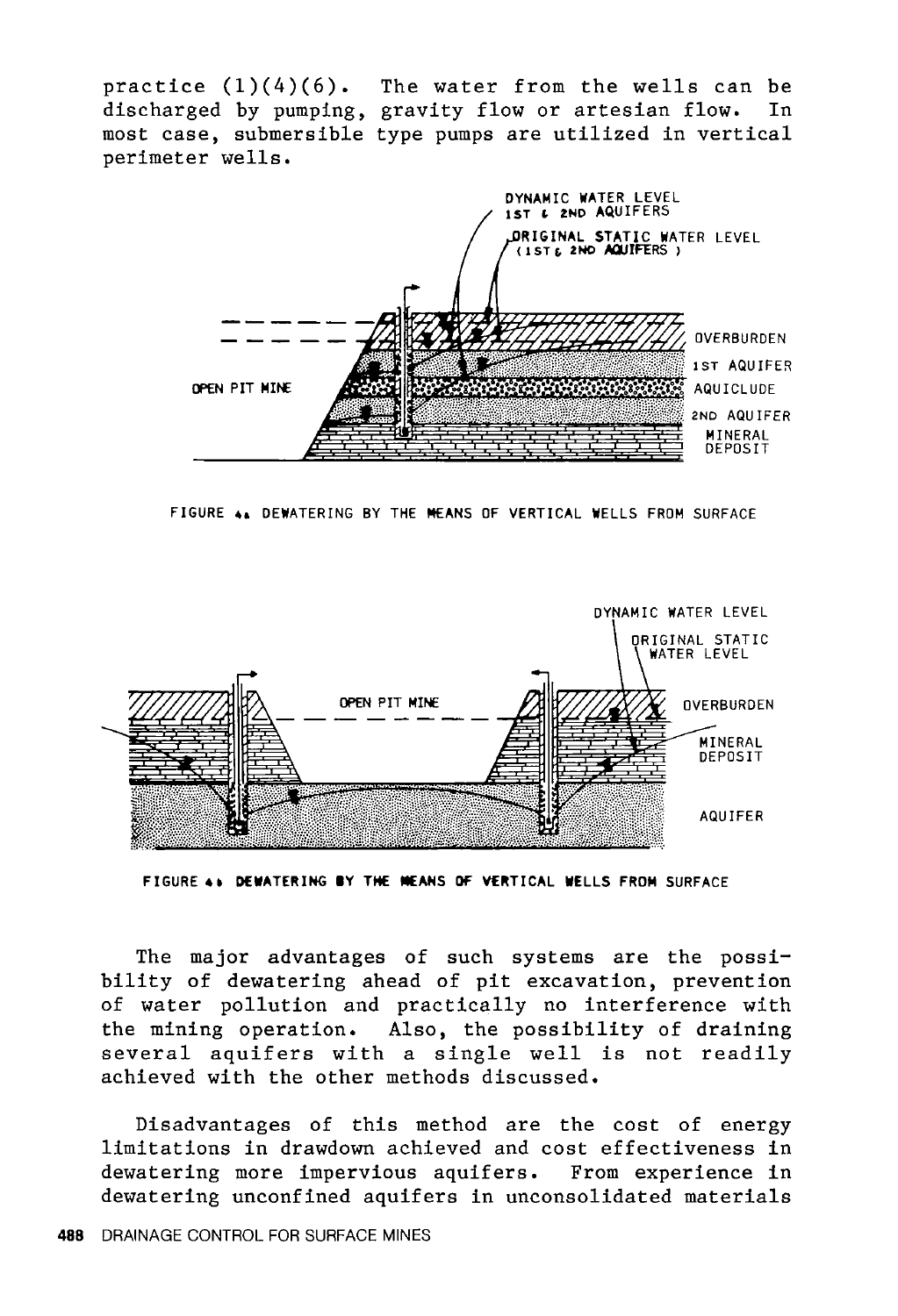practice  $(1)(4)(6)$ . The water from the wells can be discharged by pumping, gravity flow or artesian flow. In most case, submersible type pumps are utilized in vertical perimeter wells.



FIGURE **41** DEWATERING BY THE MEANS OF VERTICAL WELLS FROM SURFACE



FIGURE **o 0£11ATERING IY THE MEANS OF VERTICAL WELLS FROM** SURFACE

The major advantages of such systems are the possibility of dewatering ahead of pit excavation, prevention of water pollution and practically no interference with the mining operation. Also, the possibility of draining several aquifers with a single well is not readily achieved with the other methods discussed.

Disadvantages of this method are the cost of energy limitations in drawdown achieved and cost effectiveness in dewatering more impervious aquifers. From experience in dewatering unconfined aquifers in unconsolidated materials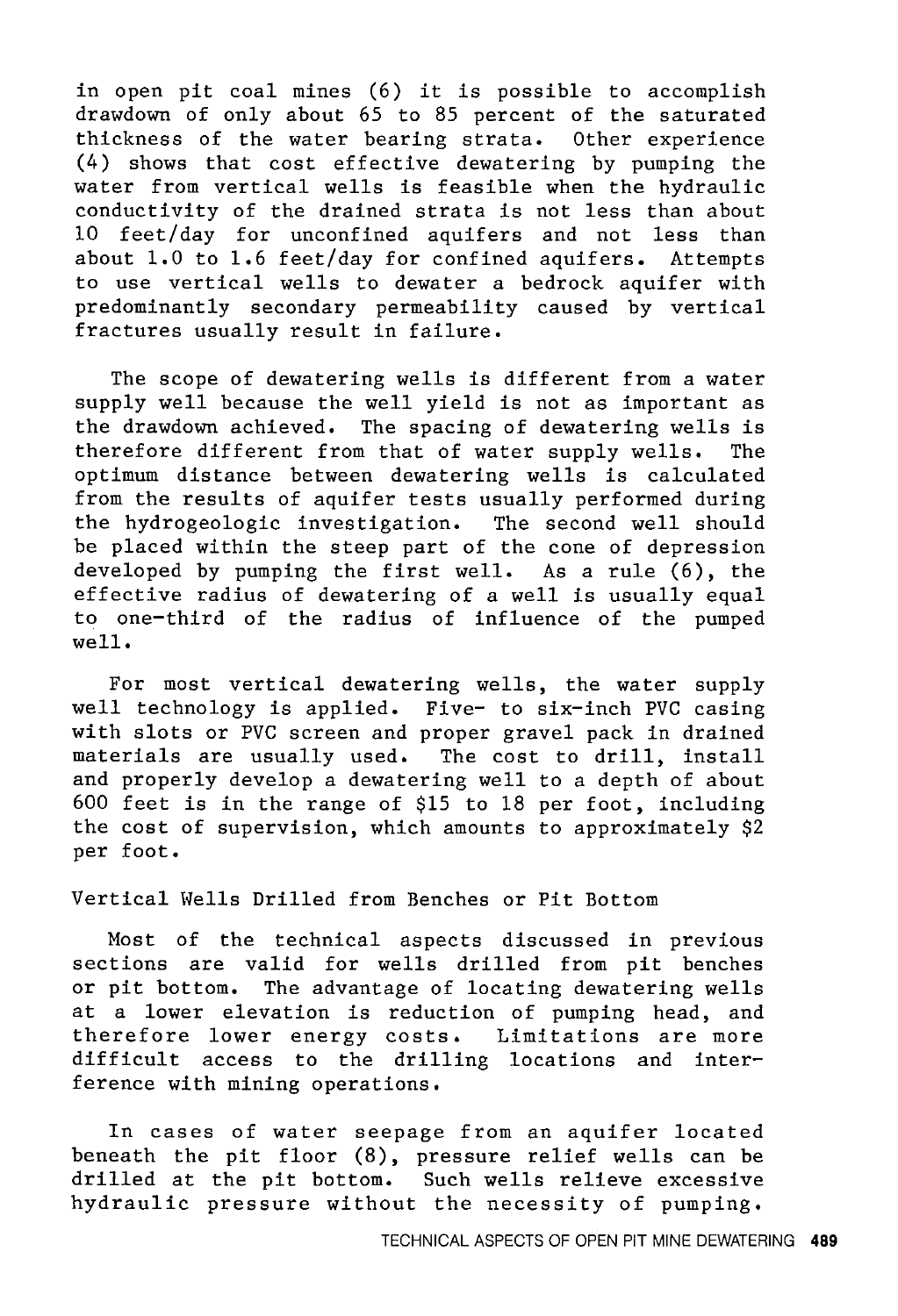in open pit coal mines (6) it is possible to accomplish drawdown of only about 65 to 85 percent of the saturated thickness of the water bearing strata. Other experience (4) shows that cost effective dewatering by pumping the water from vertical wells is feasible when the hydraulic conductivity of the drained strata is not less than about 10 feet/day for unconfined aquifers and not less than about 1.0 to 1.6 feet/day for confined aquifers. Attempts to use vertical wells to dewater a bedrock aquifer with predominantly secondary permeability caused by vertical fractures usually result in failure.

The scope of dewatering wells is different from a water supply well because the well yield is not as important as the drawdown achieved. The spacing of dewatering wells is therefore different from that of water supply wells. The optimum distance between dewatering wells is calculated from the results of aquifer tests usually performed during the hydrogeologic investigation. The second well should be placed within the steep part of the cone of depression developed by pumping the first well. As a rule (6), the effective radius of dewatering of a well is usually equal to one-third of the radius of influence of the pumped well.

For most vertical dewatering wells, the water supply well technology is applied. Five- to six-inch PVC casing with slots or PVC screen and proper gravel pack in drained materials are usually used. The cost to drill, install and properly develop a dewatering well to a depth of about 600 feet is in the range of \$15 to 18 per foot, including the cost of supervision, which amounts to approximately \$2 per foot.

Vertical Wells Drilled from Benches or Pit Bottom

Most of the technical aspects discussed in previous sections are valid for wells drilled from pit benches or pit bottom. The advantage of locating dewatering wells at a lower elevation is reduction of pumping head, and therefore lower energy costs. Limitations are more difficult access to the drilling locations and interference with mining operations.

In cases of water seepage from an aquifer located beneath the pit floor (8), pressure relief wells can be drilled at the pit bottom. Such wells relieve excessive hydraulic pressure without the necessity of pumping.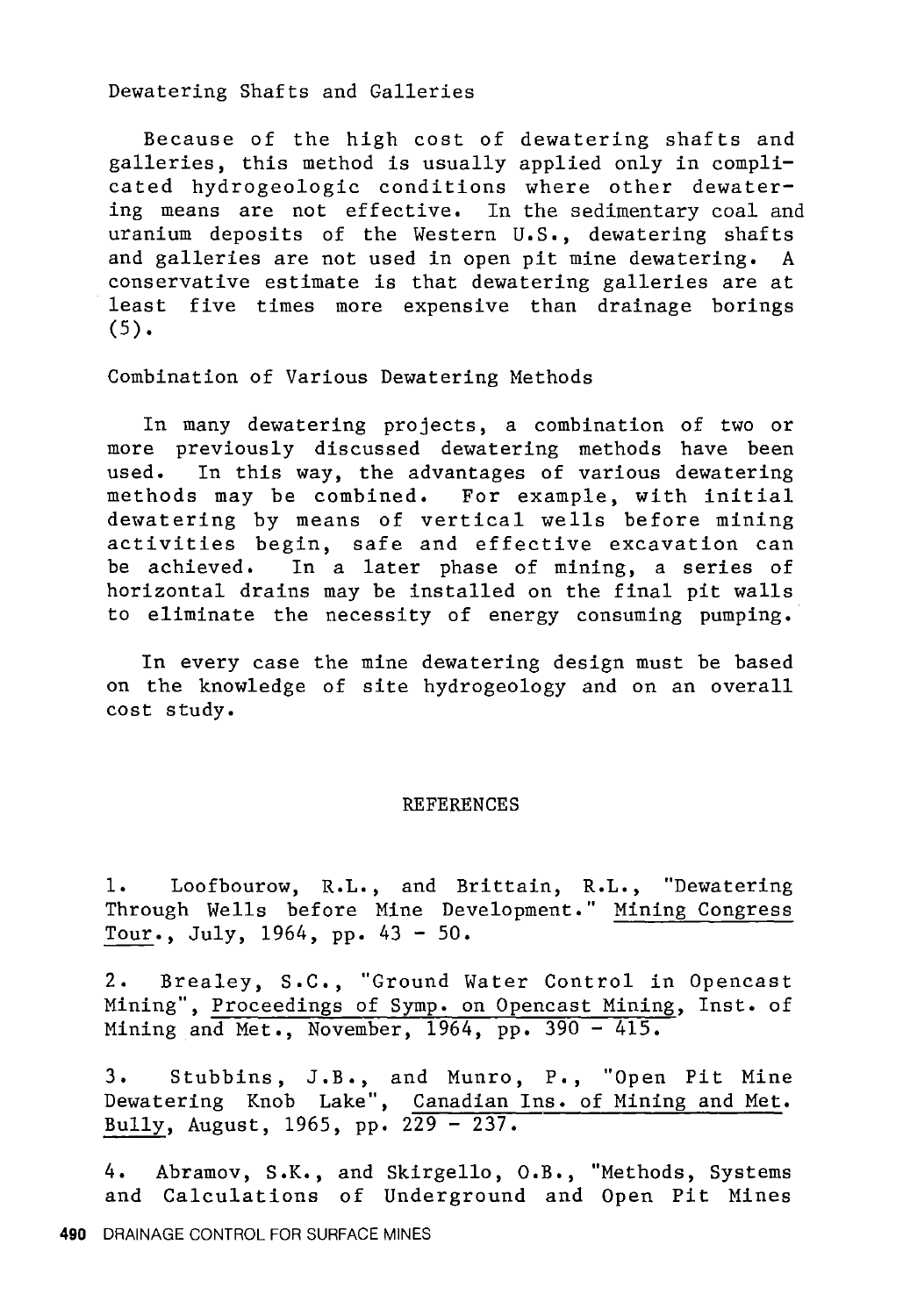Dewatering Shafts and Galleries

Because of the high cost of dewatering shafts and galleries, this method is usually applied only in complicated hydrogeologic conditions where other dewatering means are not effective. In the sedimentary coal and uranium deposits of the Western U.S., dewatering shafts and galleries are not used in open pit mine dewatering. A conservative estimate is that dewatering galleries are at least five times more expensive than drainage borings  $(5)$ .

Combination of Various Dewatering Methods

In many dewatering projects, a combination of two or more previously discussed dewatering methods have been used. In this way, the advantages of various dewatering methods may be combined. For example, with initial dewatering by means of vertical wells before mining activities begin, safe and effective excavation can be achieved. In a later phase of mining, a series of horizontal drains may be installed on the final pit walls to eliminate the necessity of energy consuming pumping.

In every case the mine dewatering design must be based on the knowledge of site hydrogeology and on an overall cost study.

#### REFERENCES

1. Loofbourow, R.L., and Brittain, R.L., "Dewatering Through Wells before Mine Development." Mining Congress Tour., July, 1964, pp. 43 - *SO.* 

2. Brealey, s.c., "Ground Water Control in Opencast Mining", Proceedings of Symp. on Opencast Mining, Inst. of Mining and Met., November, 1964, pp. 390 - 415.

3. Stubbins, J.B., and Munro, P., "Open Pit Mine Dewatering Knob Lake", Canadian Ins. of Mining and Met. Bully, August, 1965, pp.  $229 - 237$ .

4. Abramov, S.K., and Skirgello, O.B., "Methods, Systems and Calculations of Underground and Open Pit Mines